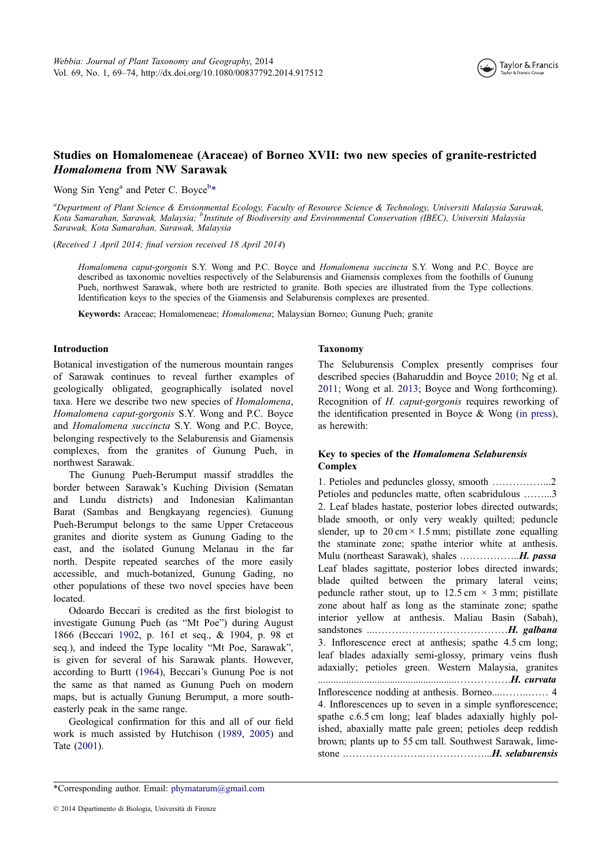

# Studies on Homalomeneae (Araceae) of Borneo XVII: two new species of granite-restricted Homalomena from NW Sarawak

Wong Sin Yeng<sup>a</sup> and Peter C. Boyce<sup>b\*</sup>

a<br>Department of Plant Science & Envionmental Ecology, Faculty of Resource Science & Technology, Universiti Malaysia Sarawak, Kota Samarahan, Sarawak, Malaysia; <sup>b</sup>Institute of Biodiversity and Environmental Conservation (IBEC), Universiti Malaysia Sarawak, Kota Samarahan, Sarawak, Malaysia

(Received 1 April 2014; final version received 18 April 2014)

Homalomena caput-gorgonis S.Y. Wong and P.C. Boyce and Homalomena succincta S.Y. Wong and P.C. Boyce are described as taxonomic novelties respectively of the Selaburensis and Giamensis complexes from the foothills of Gunung Pueh, northwest Sarawak, where both are restricted to granite. Both species are illustrated from the Type collections. Identification keys to the species of the Giamensis and Selaburensis complexes are presented.

Keywords: Araceae; Homalomeneae; Homalomena; Malaysian Borneo; Gunung Pueh; granite

#### Introduction

Botanical investigation of the numerous mountain ranges of Sarawak continues to reveal further examples of geologically obligated, geographically isolated novel taxa. Here we describe two new species of Homalomena, Homalomena caput-gorgonis S.Y. Wong and P.C. Boyce and Homalomena succincta S.Y. Wong and P.C. Boyce, belonging respectively to the Selaburensis and Giamensis complexes, from the granites of Gunung Pueh, in northwest Sarawak.

The Gunung Pueh-Berumput massif straddles the border between Sarawak's Kuching Division (Sematan and Lundu districts) and Indonesian Kalimantan Barat (Sambas and Bengkayang regencies). Gunung Pueh-Berumput belongs to the same Upper Cretaceous granites and diorite system as Gunung Gading to the east, and the isolated Gunung Melanau in the far north. Despite repeated searches of the more easily accessible, and much-botanized, Gunung Gading, no other populations of these two novel species have been located.

Odoardo Beccari is credited as the first biologist to investigate Gunung Pueh (as "Mt Poe") during August 1866 (Beccari 1902, p. 161 et seq., & 1904, p. 98 et seq.), and indeed the Type locality "Mt Poe, Sarawak", is given for several of his Sarawak plants. However, according to Burtt (1964), Beccari's Gunung Poe is not the same as t[hat na](#page-5-0)med as Gunung Pueh on modern maps, but is actually Gunung Berumput, a more southeasterly peak in the same range.

Geological confi[rmati](#page-5-0)on for this and all of our field work is much assisted by Hutchison (1989, 2005) and Tate (2001).

#### Taxonomy

The Seluburensis Complex presently comprises four described species (Baharuddin and Boyce 2010; Ng et al. 2011; Wong et al. 2013; Boyce and Wong forthcoming). Recognition of H. caput-gorgonis requires reworking of the identification presented in Boyce & Wong (in press), as herewith:

## Key to species of the Homalomena Selaburen[sis](#page-5-0) Complex

1. Petioles and peduncles glossy, smooth ……………...2 Petioles and peduncles matte, often scabridulous ……...3 2. Leaf blades hastate, posterior lobes directed outwards; blade smooth, or only very weakly quilted; peduncle slender, up to  $20 \text{ cm} \times 1.5 \text{ mm}$ ; pistillate zone equalling the staminate zone; spathe interior white at anthesis. Mulu (northeast Sarawak), shales .……………..H. passa Leaf blades sagittate, posterior lobes directed inwards; blade quilted between the primary lateral veins; peduncle rather stout, up to  $12.5 \text{ cm} \times 3 \text{ mm}$ ; pistillate zone about half as long as the staminate zone; spathe interior yellow at anthesis. Maliau Basin (Sabah), sandstones ...…………………………………H. galbana 3. Inflorescence erect at anthesis; spathe 4.5 cm long; leaf blades adaxially semi-glossy, primary veins flush adaxially; petioles green. Western Malaysia, granites ......................................................…………….H. curvata Inflorescence nodding at anthesis. Borneo....……..…… 4 4. Inflorescences up to seven in a simple synflorescence; spathe c.6.5 cm long; leaf blades adaxially highly polished, abaxially matte pale green; petioles deep reddish brown; plants up to 55 cm tall. Southwest Sarawak, limestone .…………………..………………...H. selaburensis

<sup>\*</sup>Corr[espond](#page-5-0)ing author. Email: phymatarum[@gmai](#page-5-0)l.[com](#page-5-0)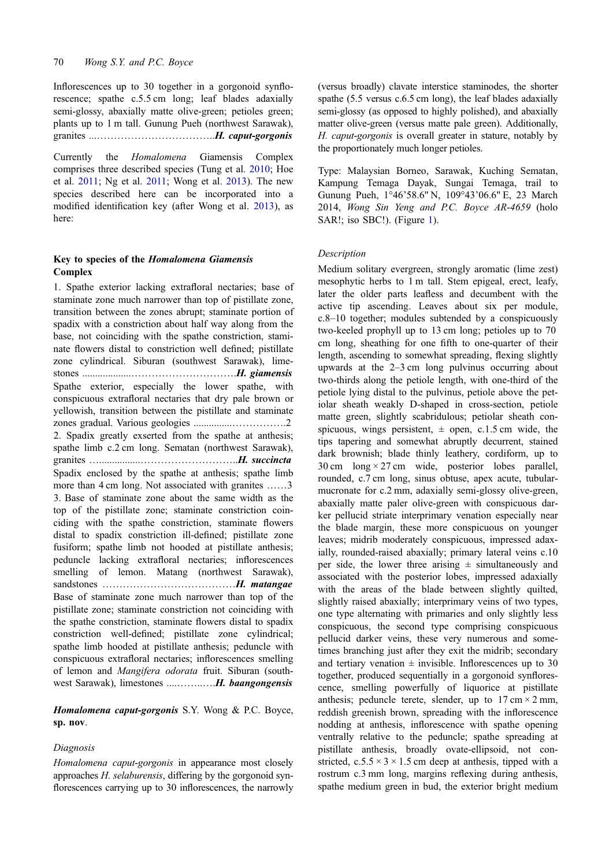Inflorescences up to 30 together in a gorgonoid synflorescence; spathe c.5.5 cm long; leaf blades adaxially semi-glossy, abaxially matte olive-green; petioles green; plants up to 1 m tall. Gunung Pueh (northwest Sarawak), granites ...……………………………..H. caput-gorgonis

Currently the Homalomena Giamensis Complex comprises three described species (Tung et al. 2010; Hoe et al. 2011; Ng et al. 2011; Wong et al. 2013). The new species described here can be incorporated into a modified identification key (after Wong et al. 2013), as here:

## Key to species of the Homalomena Giamensis Complex

1. Spathe exterior lacking extrafloral nectaries; base of staminate zone much narrower than top of pistillate zone, transition between the zones abrupt; staminate portion of spadix with a constriction about half way along from the base, not coinciding with the spathe constriction, staminate flowers distal to constriction well defined; pistillate zone cylindrical. Siburan (southwest Sarawak), limestones ...................………………………….H. giamensis Spathe exterior, especially the lower spathe, with conspicuous extrafloral nectaries that dry pale brown or yellowish, transition between the pistillate and staminate zones gradual. Various geologies ...............…………….2 2. Spadix greatly exserted from the spathe at anthesis; spathe limb c.2 cm long. Sematan (northwest Sarawak), granites …................………………………..H. succincta Spadix enclosed by the spathe at anthesis; spathe limb more than 4 cm long. Not associated with granites ......3 3. Base of staminate zone about the same width as the top of the pistillate zone; staminate constriction coinciding with the spathe constriction, staminate flowers distal to spadix constriction ill-defined; pistillate zone fusiform; spathe limb not hooded at pistillate anthesis; peduncle lacking extrafloral nectaries; inflorescences smelling of lemon. Matang (northwest Sarawak), sandstones …………………………………H. matangae Base of staminate zone much narrower than top of the pistillate zone; staminate constriction not coinciding with the spathe constriction, staminate flowers distal to spadix constriction well-defined; pistillate zone cylindrical; spathe limb hooded at pistillate anthesis; peduncle with conspicuous extrafloral nectaries; inflorescences smelling of lemon and Mangifera odorata fruit. Siburan (southwest Sarawak), limestones .....................H. baangongensis

Homalomena caput-gorgonis S.Y. Wong & P.C. Boyce, sp. nov.

## Diagnosis

Homalomena caput-gorgonis in appearance most closely approaches H. selaburensis, differing by the gorgonoid synflorescences carrying up to 30 inflorescences, the narrowly (versus broadly) clavate interstice staminodes, the shorter spathe (5.5 versus c.6.5 cm long), the leaf blades adaxially semi-glossy (as opposed to highly polished), and abaxially matter olive-green (versus matte pale green). Additionally, H. caput-gorgonis is overall greater in stature, notably by the proportionately much longer petioles.

Type: Malaysian Borneo, Sarawak, Kuching Sematan, Kampung Temaga Dayak, Sungai Temaga, trail to Gunung Pueh, 1°46'58.6" N, 109°43'06.6" E, 23 March 2014, Wong Sin Yeng and P.C. Boyce AR-4659 (holo SAR!; iso SBC!). (Figure 1).

### **Description**

Medium solitary evergree[n,](#page-2-0) strongly aromatic (lime zest) mesophytic herbs to 1 m tall. Stem epigeal, erect, leafy, later the older parts leafless and decumbent with the active tip ascending. Leaves about six per module, c.8–10 together; modules subtended by a conspicuously two-keeled prophyll up to 13 cm long; petioles up to 70 cm long, sheathing for one fifth to one-quarter of their length, ascending to somewhat spreading, flexing slightly upwards at the 2–3 cm long pulvinus occurring about two-thirds along the petiole length, with one-third of the petiole lying distal to the pulvinus, petiole above the petiolar sheath weakly D-shaped in cross-section, petiole matte green, slightly scabridulous; petiolar sheath conspicuous, wings persistent,  $\pm$  open, c.1.5 cm wide, the tips tapering and somewhat abruptly decurrent, stained dark brownish; blade thinly leathery, cordiform, up to 30 cm  $\log \times 27$  cm wide, posterior lobes parallel, rounded, c.7 cm long, sinus obtuse, apex acute, tubularmucronate for c.2 mm, adaxially semi-glossy olive-green, abaxially matte paler olive-green with conspicuous darker pellucid striate interprimary venation especially near the blade margin, these more conspicuous on younger leaves; midrib moderately conspicuous, impressed adaxially, rounded-raised abaxially; primary lateral veins c.10 per side, the lower three arising  $\pm$  simultaneously and associated with the posterior lobes, impressed adaxially with the areas of the blade between slightly quilted, slightly raised abaxially; interprimary veins of two types, one type alternating with primaries and only slightly less conspicuous, the second type comprising conspicuous pellucid darker veins, these very numerous and sometimes branching just after they exit the midrib; secondary and tertiary venation  $\pm$  invisible. Inflorescences up to 30 together, produced sequentially in a gorgonoid synflorescence, smelling powerfully of liquorice at pistillate anthesis; peduncle terete, slender, up to  $17 \text{ cm} \times 2 \text{ mm}$ , reddish greenish brown, spreading with the inflorescence nodding at anthesis, inflorescence with spathe opening ventrally relative to the peduncle; spathe spreading at pistillate anthesis, broadly ovate-ellipsoid, not constricted,  $c.5.5 \times 3 \times 1.5$  cm deep at anthesis, tipped with a rostrum c.3 mm long, margins reflexing during anthesis, spathe medium green in bud, the exterior bright medium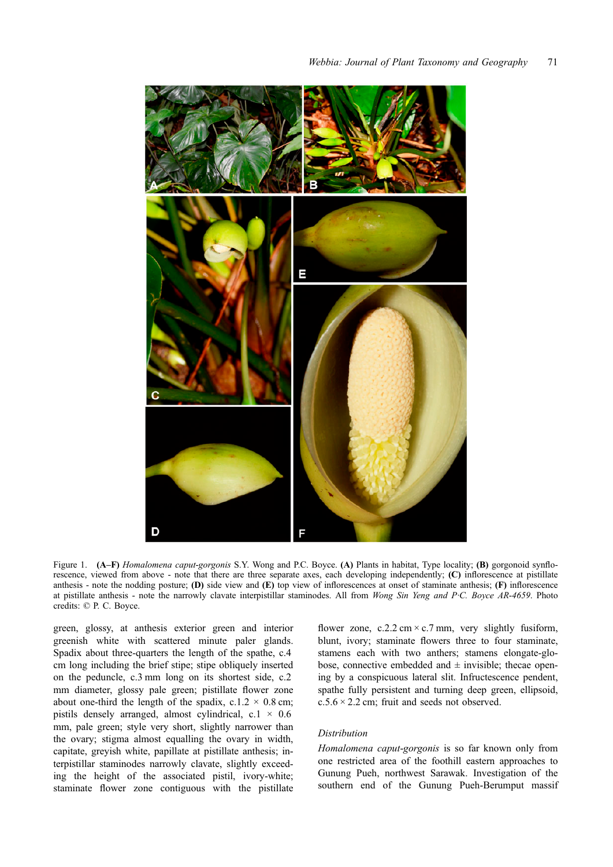<span id="page-2-0"></span>

Figure 1. (A–F) Homalomena caput-gorgonis S.Y. Wong and P.C. Boyce. (A) Plants in habitat, Type locality; (B) gorgonoid synflorescence, viewed from above - note that there are three separate axes, each developing independently; (C) inflorescence at pistillate anthesis - note the nodding posture; (D) side view and  $(E)$  top view of inflorescences at onset of staminate anthesis;  $(F)$  inflorescence at pistillate anthesis - note the narrowly clavate interpistillar staminodes. All from Wong Sin Yeng and P·C. Boyce AR-4659. Photo credits: © P. C. Boyce.

green, glossy, at anthesis exterior green and interior greenish white with scattered minute paler glands. Spadix about three-quarters the length of the spathe, c.4 cm long including the brief stipe; stipe obliquely inserted on the peduncle, c.3 mm long on its shortest side, c.2 mm diameter, glossy pale green; pistillate flower zone about one-third the length of the spadix, c.1.2  $\times$  0.8 cm; pistils densely arranged, almost cylindrical,  $c.1 \times 0.6$ mm, pale green; style very short, slightly narrower than the ovary; stigma almost equalling the ovary in width, capitate, greyish white, papillate at pistillate anthesis; interpistillar staminodes narrowly clavate, slightly exceeding the height of the associated pistil, ivory-white; staminate flower zone contiguous with the pistillate

flower zone, c.2.2 cm  $\times$  c.7 mm, very slightly fusiform, blunt, ivory; staminate flowers three to four staminate, stamens each with two anthers; stamens elongate-globose, connective embedded and  $\pm$  invisible; the cae opening by a conspicuous lateral slit. Infructescence pendent, spathe fully persistent and turning deep green, ellipsoid,  $c.5.6 \times 2.2$  cm; fruit and seeds not observed.

### Distribution

Homalomena caput-gorgonis is so far known only from one restricted area of the foothill eastern approaches to Gunung Pueh, northwest Sarawak. Investigation of the southern end of the Gunung Pueh-Berumput massif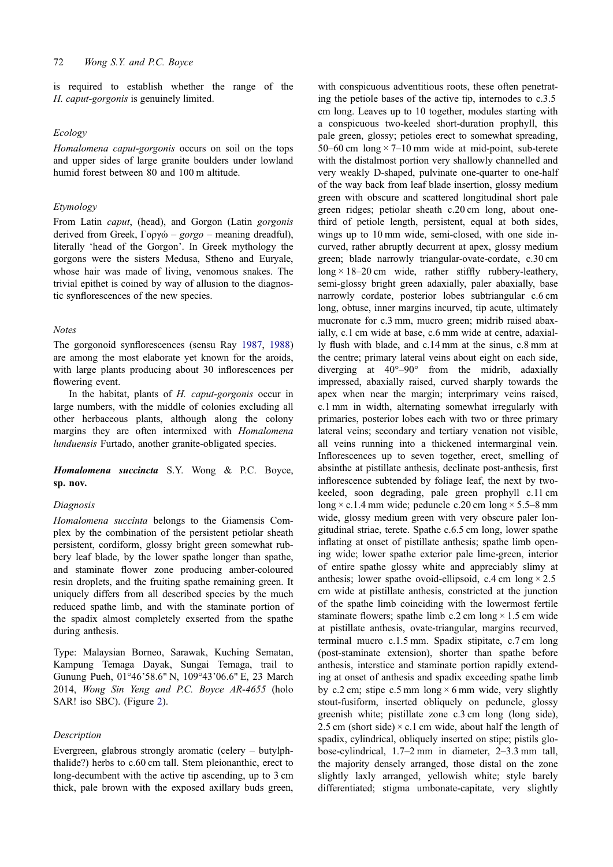is required to establish whether the range of the H. caput-gorgonis is genuinely limited.

## Ecology

Homalomena caput-gorgonis occurs on soil on the tops and upper sides of large granite boulders under lowland humid forest between 80 and 100 m altitude.

## Etymology

From Latin *caput*, (head), and Gorgon (Latin *gorgonis* derived from Greek, Γοργώ – gorgo – meaning dreadful), literally 'head of the Gorgon'. In Greek mythology the gorgons were the sisters Medusa, Stheno and Euryale, whose hair was made of living, venomous snakes. The trivial epithet is coined by way of allusion to the diagnostic synflorescences of the new species.

### Notes

The gorgonoid synflorescences (sensu Ray 1987, 1988) are among the most elaborate yet known for the aroids, with large plants producing about 30 inflorescences per flowering event.

In the habitat, plants of H. caput-gorgo[nis](#page-5-0) oc[cur in](#page-5-0) large numbers, with the middle of colonies excluding all other herbaceous plants, although along the colony margins they are often intermixed with Homalomena lunduensis Furtado, another granite-obligated species.

Homalomena succincta S.Y. Wong & P.C. Boyce, sp. nov.

## Diagnosis

Homalomena succinta belongs to the Giamensis Complex by the combination of the persistent petiolar sheath persistent, cordiform, glossy bright green somewhat rubbery leaf blade, by the lower spathe longer than spathe, and staminate flower zone producing amber-coloured resin droplets, and the fruiting spathe remaining green. It uniquely differs from all described species by the much reduced spathe limb, and with the staminate portion of the spadix almost completely exserted from the spathe during anthesis.

Type: Malaysian Borneo, Sarawak, Kuching Sematan, Kampung Temaga Dayak, Sungai Temaga, trail to Gunung Pueh, 01°46'58.6" N, 109°43'06.6" E, 23 March 2014, Wong Sin Yeng and P.C. Boyce AR-4655 (holo SAR! iso SBC). (Figure 2).

#### Description

Evergreen, glabrous stro[ng](#page-4-0)ly aromatic (celery – butylphthalide?) herbs to c.60 cm tall. Stem pleionanthic, erect to long-decumbent with the active tip ascending, up to 3 cm thick, pale brown with the exposed axillary buds green, with conspicuous adventitious roots, these often penetrating the petiole bases of the active tip, internodes to c.3.5 cm long. Leaves up to 10 together, modules starting with a conspicuous two-keeled short-duration prophyll, this pale green, glossy; petioles erect to somewhat spreading, 50–60 cm  $\log \times 7$ –10 mm wide at mid-point, sub-terete with the distalmost portion very shallowly channelled and very weakly D-shaped, pulvinate one-quarter to one-half of the way back from leaf blade insertion, glossy medium green with obscure and scattered longitudinal short pale green ridges; petiolar sheath c.20 cm long, about onethird of petiole length, persistent, equal at both sides, wings up to 10 mm wide, semi-closed, with one side incurved, rather abruptly decurrent at apex, glossy medium green; blade narrowly triangular-ovate-cordate, c.30 cm  $\log \times 18 - 20$  cm wide, rather stiffly rubbery-leathery, semi-glossy bright green adaxially, paler abaxially, base narrowly cordate, posterior lobes subtriangular c.6 cm long, obtuse, inner margins incurved, tip acute, ultimately mucronate for c.3 mm, mucro green; midrib raised abaxially, c.1 cm wide at base, c.6 mm wide at centre, adaxially flush with blade, and c.14 mm at the sinus, c.8 mm at the centre; primary lateral veins about eight on each side, diverging at 40°–90° from the midrib, adaxially impressed, abaxially raised, curved sharply towards the apex when near the margin; interprimary veins raised, c.1 mm in width, alternating somewhat irregularly with primaries, posterior lobes each with two or three primary lateral veins; secondary and tertiary venation not visible, all veins running into a thickened intermarginal vein. Inflorescences up to seven together, erect, smelling of absinthe at pistillate anthesis, declinate post-anthesis, first inflorescence subtended by foliage leaf, the next by twokeeled, soon degrading, pale green prophyll c.11 cm long  $\times$  c.1.4 mm wide; peduncle c.20 cm long  $\times$  5.5–8 mm wide, glossy medium green with very obscure paler longitudinal striae, terete. Spathe c.6.5 cm long, lower spathe inflating at onset of pistillate anthesis; spathe limb opening wide; lower spathe exterior pale lime-green, interior of entire spathe glossy white and appreciably slimy at anthesis; lower spathe ovoid-ellipsoid, c.4 cm  $\log \times 2.5$ cm wide at pistillate anthesis, constricted at the junction of the spathe limb coinciding with the lowermost fertile staminate flowers; spathe limb c.2 cm long  $\times$  1.5 cm wide at pistillate anthesis, ovate-triangular, margins recurved, terminal mucro c.1.5 mm. Spadix stipitate, c.7 cm long (post-staminate extension), shorter than spathe before anthesis, interstice and staminate portion rapidly extending at onset of anthesis and spadix exceeding spathe limb by c.2 cm; stipe c.5 mm long  $\times$  6 mm wide, very slightly stout-fusiform, inserted obliquely on peduncle, glossy greenish white; pistillate zone c.3 cm long (long side), 2.5 cm (short side)  $\times$  c.1 cm wide, about half the length of spadix, cylindrical, obliquely inserted on stipe; pistils globose-cylindrical, 1.7–2 mm in diameter, 2–3.3 mm tall, the majority densely arranged, those distal on the zone slightly laxly arranged, yellowish white; style barely differentiated; stigma umbonate-capitate, very slightly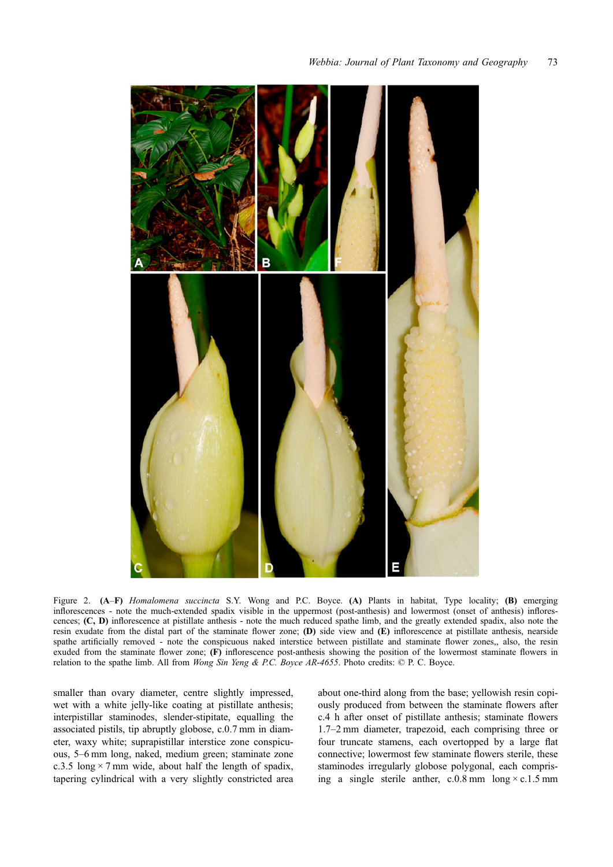<span id="page-4-0"></span>

Figure 2. (A–F) Homalomena succincta S.Y. Wong and P.C. Boyce. (A) Plants in habitat, Type locality; (B) emerging inflorescences - note the much-extended spadix visible in the uppermost (post-anthesis) and lowermost (onset of anthesis) inflorescences; (C, D) inflorescence at pistillate anthesis - note the much reduced spathe limb, and the greatly extended spadix, also note the resin exudate from the distal part of the staminate flower zone; (D) side view and (E) inflorescence at pistillate anthesis, nearside spathe artificially removed - note the conspicuous naked interstice between pistillate and staminate flower zones,, also, the resin exuded from the staminate flower zone; (F) inflorescence post-anthesis showing the position of the lowermost staminate flowers in relation to the spathe limb. All from *Wong Sin Yeng & P.C. Boyce AR-4655*. Photo credits: © P. C. Boyce.

smaller than ovary diameter, centre slightly impressed, wet with a white jelly-like coating at pistillate anthesis; interpistillar staminodes, slender-stipitate, equalling the associated pistils, tip abruptly globose, c.0.7 mm in diameter, waxy white; suprapistillar interstice zone conspicuous, 5–6 mm long, naked, medium green; staminate zone c.3.5 long  $\times$  7 mm wide, about half the length of spadix, tapering cylindrical with a very slightly constricted area about one-third along from the base; yellowish resin copiously produced from between the staminate flowers after c.4 h after onset of pistillate anthesis; staminate flowers 1.7–2 mm diameter, trapezoid, each comprising three or four truncate stamens, each overtopped by a large flat connective; lowermost few staminate flowers sterile, these staminodes irregularly globose polygonal, each comprising a single sterile anther,  $c.0.8$  mm long  $\times c.1.5$  mm